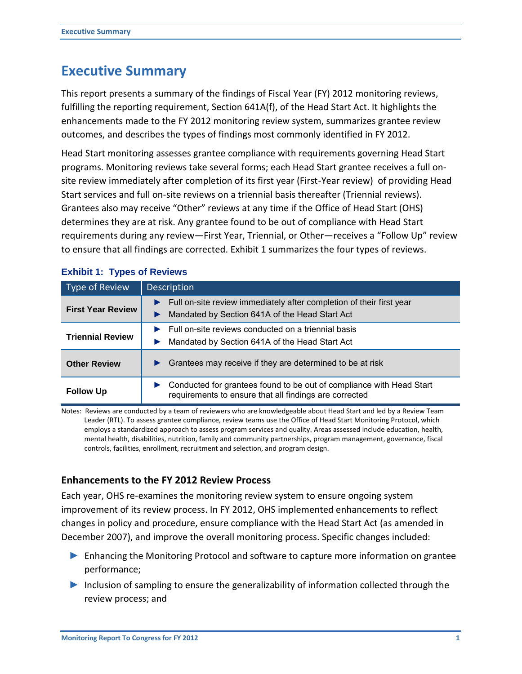# **Executive Summary**

This report presents a summary of the findings of Fiscal Year (FY) 2012 monitoring reviews, fulfilling the reporting requirement, Section 641A(f), of the Head Start Act. It highlights the enhancements made to the FY 2012 monitoring review system, summarizes grantee review outcomes, and describes the types of findings most commonly identified in FY 2012.

Head Start monitoring assesses grantee compliance with requirements governing Head Start programs. Monitoring reviews take several forms; each Head Start grantee receives a full on‐ site review immediately after completion of its first year (First-Year review) of providing Head Start services and full on-site reviews on a triennial basis thereafter (Triennial reviews). Grantees also may receive "Other" reviews at any time if the Office of Head Start (OHS) determines they are at risk. Any grantee found to be out of compliance with Head Start requirements during any review—First Year, Triennial, or Other—receives a "Follow Up" review to ensure that all findings are corrected. Exhibit 1 summarizes the four types of reviews.

| Type of Review           | <b>Description</b>                                                                                                             |
|--------------------------|--------------------------------------------------------------------------------------------------------------------------------|
| <b>First Year Review</b> | Full on-site review immediately after completion of their first year<br>Mandated by Section 641A of the Head Start Act         |
| <b>Triennial Review</b>  | Full on-site reviews conducted on a triennial basis<br>Mandated by Section 641A of the Head Start Act                          |
| <b>Other Review</b>      | Grantees may receive if they are determined to be at risk                                                                      |
| <b>Follow Up</b>         | Conducted for grantees found to be out of compliance with Head Start<br>requirements to ensure that all findings are corrected |

# **Exhibit 1: Types of Reviews**

Notes: Reviews are conducted by a team of reviewers who are knowledgeable about Head Start and led by a Review Team Leader (RTL). To assess grantee compliance, review teams use the Office of Head Start Monitoring Protocol, which employs a standardized approach to assess program services and quality. Areas assessed include education, health, mental health, disabilities, nutrition, family and community partnerships, program management, governance, fiscal controls, facilities, enrollment, recruitment and selection, and program design.

# **Enhancements to the FY 2012 Review Process**

Each year, OHS re-examines the monitoring review system to ensure ongoing system improvement of its review process. In FY 2012, OHS implemented enhancements to reflect changes in policy and procedure, ensure compliance with the Head Start Act (as amended in December 2007), and improve the overall monitoring process. Specific changes included:

- ► Enhancing the Monitoring Protocol and software to capture more information on grantee performance;
- ► Inclusion of sampling to ensure the generalizability of information collected through the review process; and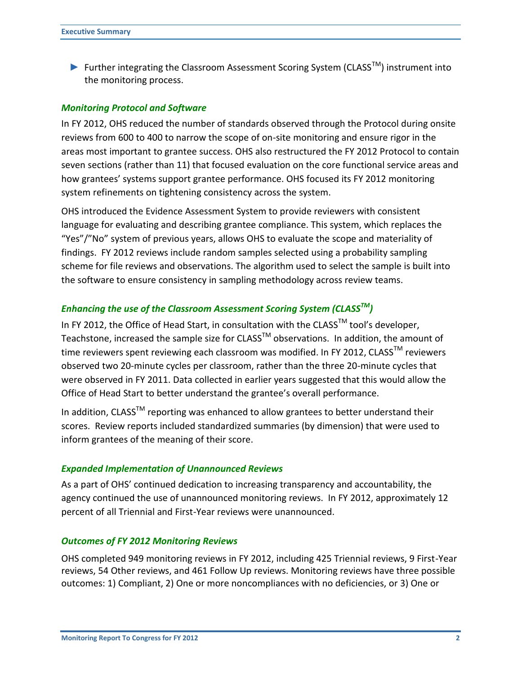► Further integrating the Classroom Assessment Scoring System (CLASSTM) instrument into the monitoring process.

### *Monitoring Protocol and Software*

In FY 2012, OHS reduced the number of standards observed through the Protocol during onsite reviews from 600 to 400 to narrow the scope of on-site monitoring and ensure rigor in the areas most important to grantee success. OHS also restructured the FY 2012 Protocol to contain seven sections (rather than 11) that focused evaluation on the core functional service areas and how grantees' systems support grantee performance. OHS focused its FY 2012 monitoring system refinements on tightening consistency across the system.

OHS introduced the Evidence Assessment System to provide reviewers with consistent language for evaluating and describing grantee compliance. This system, which replaces the "Yes"/"No" system of previous years, allows OHS to evaluate the scope and materiality of findings. FY 2012 reviews include random samples selected using a probability sampling scheme for file reviews and observations. The algorithm used to select the sample is built into the software to ensure consistency in sampling methodology across review teams.

## *Enhancing the use of the Classroom Assessment Scoring System (CLASSTM)*

In FY 2012, the Office of Head Start, in consultation with the CLASS<sup>TM</sup> tool's developer. Teachstone, increased the sample size for CLASS<sup>TM</sup> observations. In addition, the amount of time reviewers spent reviewing each classroom was modified. In FY 2012, CLASS<sup>™</sup> reviewers observed two 20-minute cycles per classroom, rather than the three 20-minute cycles that were observed in FY 2011. Data collected in earlier years suggested that this would allow the Office of Head Start to better understand the grantee's overall performance.

In addition,  $CLASS^{TM}$  reporting was enhanced to allow grantees to better understand their scores. Review reports included standardized summaries (by dimension) that were used to inform grantees of the meaning of their score.

#### *Expanded Implementation of Unannounced Reviews*

As a part of OHS' continued dedication to increasing transparency and accountability, the agency continued the use of unannounced monitoring reviews. In FY 2012, approximately 12 percent of all Triennial and First-Year reviews were unannounced.

#### *Outcomes of FY 2012 Monitoring Reviews*

OHS completed 949 monitoring reviews in FY 2012, including 425 Triennial reviews, 9 First-Year reviews, 54 Other reviews, and 461 Follow Up reviews. Monitoring reviews have three possible outcomes: 1) Compliant, 2) One or more noncompliances with no deficiencies, or 3) One or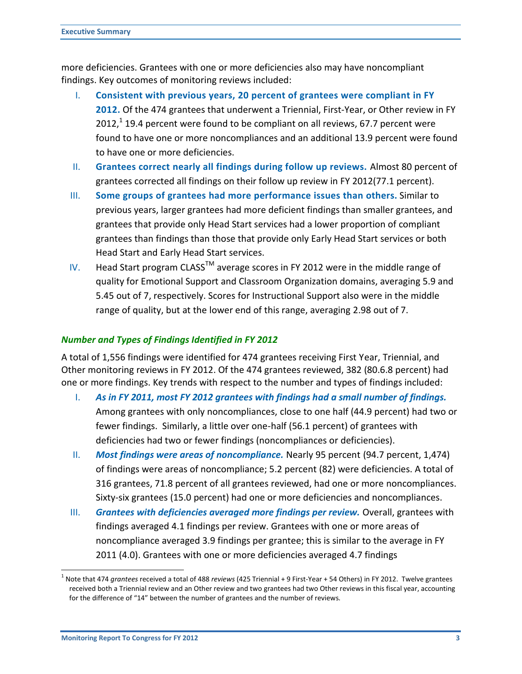more deficiencies. Grantees with one or more deficiencies also may have noncompliant findings. Key outcomes of monitoring reviews included:

- I. **Consistent with previous years, 20 percent of grantees were compliant in FY 2012.** Of the 474 grantees that underwent a Triennial, First‐Year, or Other review in FY  $2012$  $2012$  $2012$ ,<sup>1</sup> 19.4 percent were found to be compliant on all reviews, 67.7 percent were found to have one or more noncompliances and an additional 13.9 percent were found to have one or more deficiencies.
- II. **Grantees correct nearly all findings during follow up reviews.** Almost 80 percent of grantees corrected all findings on their follow up review in FY 2012(77.1 percent).
- III. **Some groups of grantees had more performance issues than others.** Similar to previous years, larger grantees had more deficient findings than smaller grantees, and grantees that provide only Head Start services had a lower proportion of compliant grantees than findings than those that provide only Early Head Start services or both Head Start and Early Head Start services.
- IV. Head Start program CLASS<sup>TM</sup> average scores in FY 2012 were in the middle range of quality for Emotional Support and Classroom Organization domains, averaging 5.9 and 5.45 out of 7, respectively. Scores for Instructional Support also were in the middle range of quality, but at the lower end of this range, averaging 2.98 out of 7.

# *Number and Types of Findings Identified in FY 2012*

A total of 1,556 findings were identified for 474 grantees receiving First Year, Triennial, and Other monitoring reviews in FY 2012. Of the 474 grantees reviewed, 382 (80.6.8 percent) had one or more findings. Key trends with respect to the number and types of findings included:

- I. *As in FY 2011, most FY 2012 grantees with findings had a small number of findings.* Among grantees with only noncompliances, close to one half (44.9 percent) had two or fewer findings. Similarly, a little over one-half (56.1 percent) of grantees with deficiencies had two or fewer findings (noncompliances or deficiencies).
- II. *Most findings were areas of noncompliance.* Nearly 95 percent (94.7 percent, 1,474) of findings were areas of noncompliance; 5.2 percent (82) were deficiencies. A total of 316 grantees, 71.8 percent of all grantees reviewed, had one or more noncompliances. Sixty-six grantees (15.0 percent) had one or more deficiencies and noncompliances.
- III. *Grantees with deficiencies averaged more findings per review.* Overall, grantees with findings averaged 4.1 findings per review. Grantees with one or more areas of noncompliance averaged 3.9 findings per grantee; this is similar to the average in FY 2011 (4.0). Grantees with one or more deficiencies averaged 4.7 findings

 $\overline{a}$ 

<span id="page-2-0"></span><sup>1</sup> Note that 474 *grantees* received a total of 488 *reviews* (425 Triennial + 9 First-Year + 54 Others) in FY 2012. Twelve grantees received both a Triennial review and an Other review and two grantees had two Other reviews in this fiscal year, accounting for the difference of "14" between the number of grantees and the number of reviews.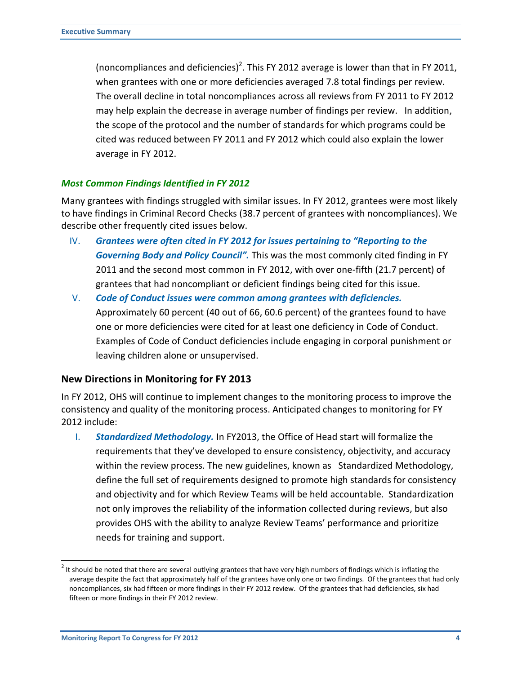(noncompliances and deficiencies)<sup>[2](#page-3-0)</sup>. This FY 2012 average is lower than that in FY 2011, when grantees with one or more deficiencies averaged 7.8 total findings per review. The overall decline in total noncompliances across all reviews from FY 2011 to FY 2012 may help explain the decrease in average number of findings per review. In addition, the scope of the protocol and the number of standards for which programs could be cited was reduced between FY 2011 and FY 2012 which could also explain the lower average in FY 2012.

## *Most Common Findings Identified in FY 2012*

Many grantees with findings struggled with similar issues. In FY 2012, grantees were most likely to have findings in Criminal Record Checks (38.7 percent of grantees with noncompliances). We describe other frequently cited issues below.

- IV. *Grantees were often cited in FY 2012 for issues pertaining to "Reporting to the Governing Body and Policy Council".* This was the most commonly cited finding in FY 2011 and the second most common in FY 2012, with over one-fifth (21.7 percent) of grantees that had noncompliant or deficient findings being cited for this issue.
- V. *Code of Conduct issues were common among grantees with deficiencies.* Approximately 60 percent (40 out of 66, 60.6 percent) of the grantees found to have one or more deficiencies were cited for at least one deficiency in Code of Conduct. Examples of Code of Conduct deficiencies include engaging in corporal punishment or leaving children alone or unsupervised.

#### **New Directions in Monitoring for FY 2013**

In FY 2012, OHS will continue to implement changes to the monitoring process to improve the consistency and quality of the monitoring process. Anticipated changes to monitoring for FY 2012 include:

I. *Standardized Methodology.* In FY2013, the Office of Head start will formalize the requirements that they've developed to ensure consistency, objectivity, and accuracy within the review process. The new guidelines, known as Standardized Methodology, define the full set of requirements designed to promote high standards for consistency and objectivity and for which Review Teams will be held accountable. Standardization not only improves the reliability of the information collected during reviews, but also provides OHS with the ability to analyze Review Teams' performance and prioritize needs for training and support.

<span id="page-3-0"></span>**<sup>2</sup>**<br><sup>2</sup> It should be noted that there are several outlying grantees that have very high numbers of findings which is inflating the average despite the fact that approximately half of the grantees have only one or two findings. Of the grantees that had only noncompliances, six had fifteen or more findings in their FY 2012 review. Of the grantees that had deficiencies, six had fifteen or more findings in their FY 2012 review.